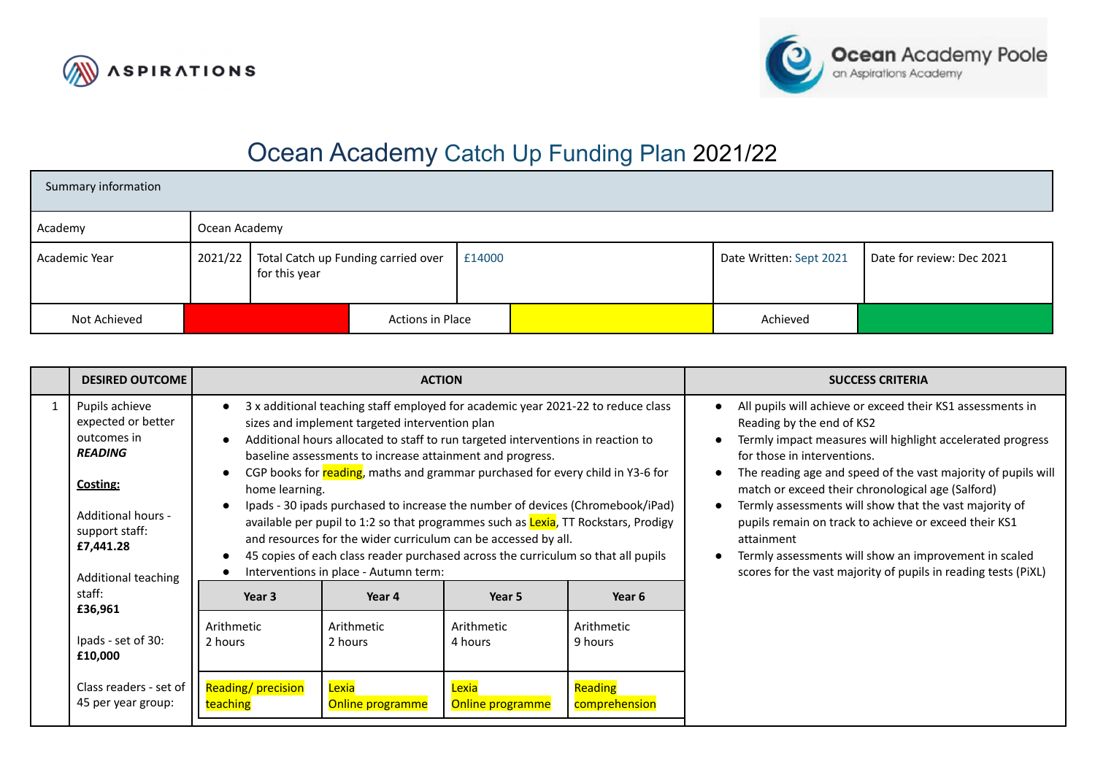



## Ocean Academy Catch Up Funding Plan 2021/22

| Summary information |               |                                                      |                  |        |                         |                           |
|---------------------|---------------|------------------------------------------------------|------------------|--------|-------------------------|---------------------------|
| Academy             | Ocean Academy |                                                      |                  |        |                         |                           |
| Academic Year       | 2021/22       | Total Catch up Funding carried over<br>for this year |                  | £14000 | Date Written: Sept 2021 | Date for review: Dec 2021 |
| Not Achieved        |               |                                                      | Actions in Place |        | Achieved                |                           |

|   | <b>DESIRED OUTCOME</b>                                                                                                                                        |                               | <b>ACTION</b>                                                                                                                                        |                                                                                                                                                                                                                                                                                                                                                                                                                                                                                                                                                                                               |                          | <b>SUCCESS CRITERIA</b>                                                                                                                                                                                                                                                                                                                                                                                                                                                                                                                                                             |
|---|---------------------------------------------------------------------------------------------------------------------------------------------------------------|-------------------------------|------------------------------------------------------------------------------------------------------------------------------------------------------|-----------------------------------------------------------------------------------------------------------------------------------------------------------------------------------------------------------------------------------------------------------------------------------------------------------------------------------------------------------------------------------------------------------------------------------------------------------------------------------------------------------------------------------------------------------------------------------------------|--------------------------|-------------------------------------------------------------------------------------------------------------------------------------------------------------------------------------------------------------------------------------------------------------------------------------------------------------------------------------------------------------------------------------------------------------------------------------------------------------------------------------------------------------------------------------------------------------------------------------|
| 1 | Pupils achieve<br>expected or better<br>outcomes in<br><b>READING</b><br>Costing:<br>Additional hours -<br>support staff:<br>£7,441.28<br>Additional teaching | home learning.                | sizes and implement targeted intervention plan<br>baseline assessments to increase attainment and progress.<br>Interventions in place - Autumn term: | 3 x additional teaching staff employed for academic year 2021-22 to reduce class<br>Additional hours allocated to staff to run targeted interventions in reaction to<br>CGP books for reading, maths and grammar purchased for every child in Y3-6 for<br>Ipads - 30 ipads purchased to increase the number of devices (Chromebook/iPad)<br>available per pupil to 1:2 so that programmes such as <b>Lexia</b> , TT Rockstars, Prodigy<br>and resources for the wider curriculum can be accessed by all.<br>45 copies of each class reader purchased across the curriculum so that all pupils |                          | All pupils will achieve or exceed their KS1 assessments in<br>$\bullet$<br>Reading by the end of KS2<br>Termly impact measures will highlight accelerated progress<br>for those in interventions.<br>The reading age and speed of the vast majority of pupils will<br>match or exceed their chronological age (Salford)<br>Termly assessments will show that the vast majority of<br>pupils remain on track to achieve or exceed their KS1<br>attainment<br>Termly assessments will show an improvement in scaled<br>scores for the vast majority of pupils in reading tests (PIXL) |
|   | staff:<br>£36,961                                                                                                                                             | Year 3                        | Year 4                                                                                                                                               | Year 5                                                                                                                                                                                                                                                                                                                                                                                                                                                                                                                                                                                        | Year 6                   |                                                                                                                                                                                                                                                                                                                                                                                                                                                                                                                                                                                     |
|   | Ipads - set of 30:<br>£10,000                                                                                                                                 | Arithmetic<br>2 hours         | Arithmetic<br>2 hours                                                                                                                                | Arithmetic<br>4 hours                                                                                                                                                                                                                                                                                                                                                                                                                                                                                                                                                                         | Arithmetic<br>9 hours    |                                                                                                                                                                                                                                                                                                                                                                                                                                                                                                                                                                                     |
|   | Class readers - set of<br>45 per year group:                                                                                                                  | Reading/precision<br>teaching | Lexia<br>Online programme                                                                                                                            | Lexia<br>Online programme                                                                                                                                                                                                                                                                                                                                                                                                                                                                                                                                                                     | Reading<br>comprehension |                                                                                                                                                                                                                                                                                                                                                                                                                                                                                                                                                                                     |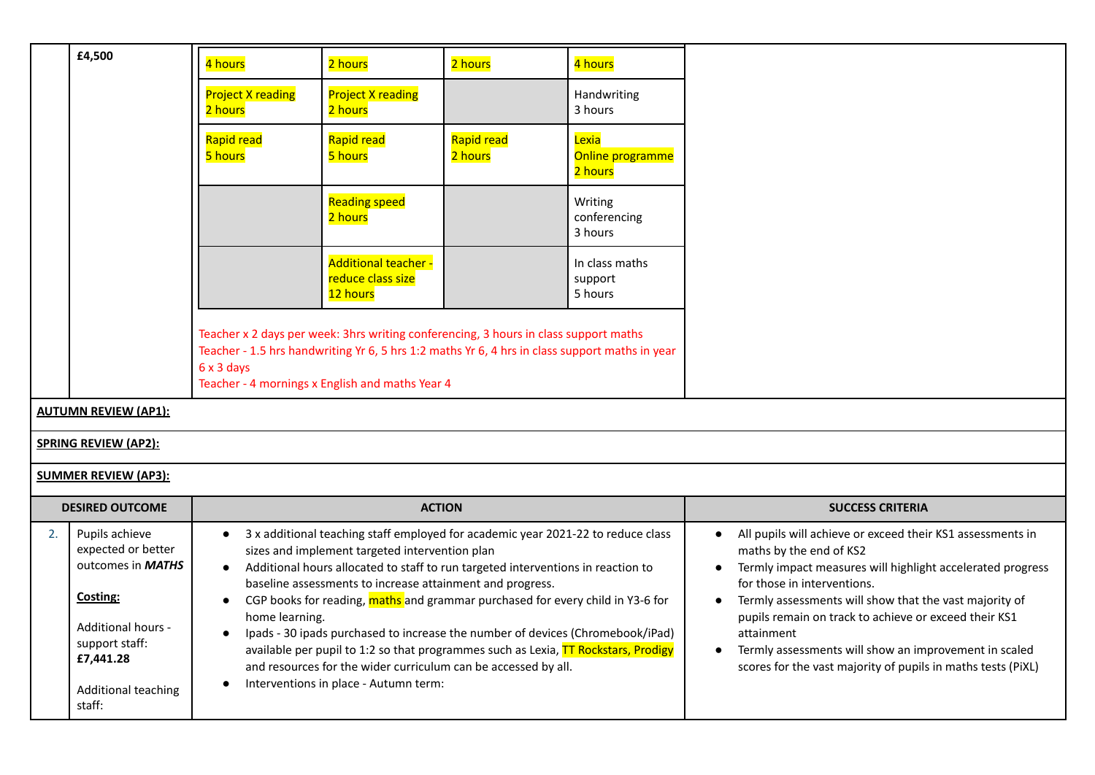|    | £4,500                                                                                                                                                          | 4 hours                                                                                                                                                                                                                                                 | 2 hours                                                                                                                                              | 2 hours                                                                                                                                                                                                                                                                                                                                                                                                                                                                                          | 4 hours                              |                                                                                                                                                                                                                                                                                                                                                                                                                                              |
|----|-----------------------------------------------------------------------------------------------------------------------------------------------------------------|---------------------------------------------------------------------------------------------------------------------------------------------------------------------------------------------------------------------------------------------------------|------------------------------------------------------------------------------------------------------------------------------------------------------|--------------------------------------------------------------------------------------------------------------------------------------------------------------------------------------------------------------------------------------------------------------------------------------------------------------------------------------------------------------------------------------------------------------------------------------------------------------------------------------------------|--------------------------------------|----------------------------------------------------------------------------------------------------------------------------------------------------------------------------------------------------------------------------------------------------------------------------------------------------------------------------------------------------------------------------------------------------------------------------------------------|
|    |                                                                                                                                                                 | <b>Project X reading</b><br>2 hours                                                                                                                                                                                                                     | <b>Project X reading</b><br>2 hours                                                                                                                  |                                                                                                                                                                                                                                                                                                                                                                                                                                                                                                  | Handwriting<br>3 hours               |                                                                                                                                                                                                                                                                                                                                                                                                                                              |
|    |                                                                                                                                                                 | Rapid read<br>5 hours                                                                                                                                                                                                                                   | Rapid read<br>5 hours                                                                                                                                | Rapid read<br>2 hours                                                                                                                                                                                                                                                                                                                                                                                                                                                                            | Lexia<br>Online programme<br>2 hours |                                                                                                                                                                                                                                                                                                                                                                                                                                              |
|    |                                                                                                                                                                 |                                                                                                                                                                                                                                                         | Reading speed<br>2 hours                                                                                                                             |                                                                                                                                                                                                                                                                                                                                                                                                                                                                                                  | Writing<br>conferencing<br>3 hours   |                                                                                                                                                                                                                                                                                                                                                                                                                                              |
|    |                                                                                                                                                                 |                                                                                                                                                                                                                                                         | <b>Additional teacher -</b><br>reduce class size<br>12 hours                                                                                         |                                                                                                                                                                                                                                                                                                                                                                                                                                                                                                  | In class maths<br>support<br>5 hours |                                                                                                                                                                                                                                                                                                                                                                                                                                              |
|    |                                                                                                                                                                 | Teacher x 2 days per week: 3hrs writing conferencing, 3 hours in class support maths<br>Teacher - 1.5 hrs handwriting Yr 6, 5 hrs 1:2 maths Yr 6, 4 hrs in class support maths in year<br>6 x 3 days<br>Teacher - 4 mornings x English and maths Year 4 |                                                                                                                                                      |                                                                                                                                                                                                                                                                                                                                                                                                                                                                                                  |                                      |                                                                                                                                                                                                                                                                                                                                                                                                                                              |
|    | <b>AUTUMN REVIEW (AP1):</b>                                                                                                                                     |                                                                                                                                                                                                                                                         |                                                                                                                                                      |                                                                                                                                                                                                                                                                                                                                                                                                                                                                                                  |                                      |                                                                                                                                                                                                                                                                                                                                                                                                                                              |
|    | <b>SPRING REVIEW (AP2):</b>                                                                                                                                     |                                                                                                                                                                                                                                                         |                                                                                                                                                      |                                                                                                                                                                                                                                                                                                                                                                                                                                                                                                  |                                      |                                                                                                                                                                                                                                                                                                                                                                                                                                              |
|    | <b>SUMMER REVIEW (AP3):</b>                                                                                                                                     |                                                                                                                                                                                                                                                         |                                                                                                                                                      |                                                                                                                                                                                                                                                                                                                                                                                                                                                                                                  |                                      |                                                                                                                                                                                                                                                                                                                                                                                                                                              |
|    | <b>DESIRED OUTCOME</b>                                                                                                                                          |                                                                                                                                                                                                                                                         | <b>ACTION</b>                                                                                                                                        |                                                                                                                                                                                                                                                                                                                                                                                                                                                                                                  |                                      | <b>SUCCESS CRITERIA</b>                                                                                                                                                                                                                                                                                                                                                                                                                      |
| 2. | Pupils achieve<br>expected or better<br>outcomes in <b>MATHS</b><br>Costing:<br><b>Additional hours -</b><br>support staff:<br>£7,441.28<br>Additional teaching | $\bullet$<br>$\bullet$<br>home learning.<br>$\bullet$                                                                                                                                                                                                   | sizes and implement targeted intervention plan<br>baseline assessments to increase attainment and progress.<br>Interventions in place - Autumn term: | 3 x additional teaching staff employed for academic year 2021-22 to reduce class<br>Additional hours allocated to staff to run targeted interventions in reaction to<br>CGP books for reading, maths and grammar purchased for every child in Y3-6 for<br>Ipads - 30 ipads purchased to increase the number of devices (Chromebook/iPad)<br>available per pupil to 1:2 so that programmes such as Lexia, TT Rockstars, Prodigy<br>and resources for the wider curriculum can be accessed by all. |                                      | All pupils will achieve or exceed their KS1 assessments in<br>maths by the end of KS2<br>Termly impact measures will highlight accelerated progress<br>for those in interventions.<br>Termly assessments will show that the vast majority of<br>pupils remain on track to achieve or exceed their KS1<br>attainment<br>Termly assessments will show an improvement in scaled<br>scores for the vast majority of pupils in maths tests (PiXL) |